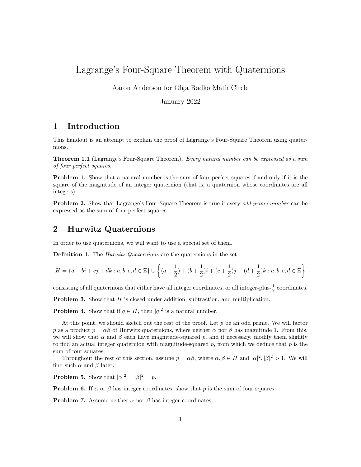# Lagrange's Four-Square Theorem with Quaternions

Aaron Anderson for Olga Radko Math Circle

January 2022

## 1 Introduction

This handout is an attempt to explain the proof of Lagrange's Four-Square Theorem using quaternions.

**Theorem 1.1** (Lagrange's Four-Square Theorem). Every natural number can be expressed as a sum of four perfect squares.

**Problem 1.** Show that a natural number is the sum of four perfect squares if and only if it is the square of the magnitude of an integer quaternion (that is, a quaternion whose coordinates are all integers).

**Problem 2.** Show that Lagrange's Four-Square Theorem is true if every *odd prime number* can be expressed as the sum of four perfect squares.

#### 2 Hurwitz Quaternions

In order to use quaternions, we will want to use a special set of them.

**Definition 1.** The *Hurwitz Quaternions* are the quaternions in the set

$$
H = \{a + bi + cj + dk : a, b, c, d \in \mathbb{Z}\} \cup \left\{(a + \frac{1}{2}) + (b + \frac{1}{2})i + (c + \frac{1}{2})j + (d + \frac{1}{2})k : a, b, c, d \in \mathbb{Z}\right\}
$$

consisting of all quaternions that either have all integer coordinates, or all integer-plus- $\frac{1}{2}$  coordinates.

**Problem 3.** Show that  $H$  is closed under addition, subtraction, and multiplication.

**Problem 4.** Show that if  $q \in H$ , then  $|q|^2$  is a natural number.

At this point, we should sketch out the rest of the proof. Let  $p$  be an odd prime. We will factor p as a product  $p = \alpha \beta$  of Hurwitz quaternions, where neither  $\alpha$  nor  $\beta$  has magnitude 1. From this, we will show that  $\alpha$  and  $\beta$  each have magnitude-squared p, and if necessary, modify them slightly to find an actual integer quaternion with magnitude-squared  $p$ , from which we deduce that  $p$  is the sum of four squares.

Throughout the rest of this section, assume  $p = \alpha \beta$ , where  $\alpha, \beta \in H$  and  $|\alpha|^2, |\beta|^2 > 1$ . We will find such  $\alpha$  and  $\beta$  later.

**Problem 5.** Show that  $|\alpha|^2 = |\beta|^2 = p$ .

**Problem 6.** If  $\alpha$  or  $\beta$  has integer coordinates, show that p is the sum of four squares.

**Problem 7.** Assume neither  $\alpha$  nor  $\beta$  has integer coordinates.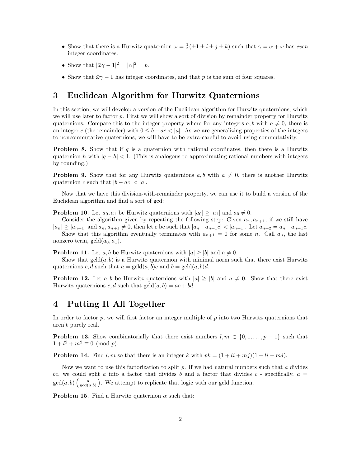- Show that there is a Hurwitz quaternion  $\omega = \frac{1}{2}(\pm 1 \pm i \pm j \pm k)$  such that  $\gamma = \alpha + \omega$  has even integer coordinates.
- Show that  $|\bar{\omega}\gamma 1|^2 = |\alpha|^2 = p$ .
- Show that  $\bar{\omega}\gamma 1$  has integer coordinates, and that p is the sum of four squares.

## 3 Euclidean Algorithm for Hurwitz Quaternions

In this section, we will develop a version of the Euclidean algorithm for Hurwitz quaternions, which we will use later to factor  $p$ . First we will show a sort of division by remainder property for Hurwitz quaternions. Compare this to the integer property where for any integers  $a, b$  with  $a \neq 0$ , there is an integer c (the remainder) with  $0 \le b - ac \le |a|$ . As we are generalizing properties of the integers to noncommutative quaternions, we will have to be extra-careful to avoid using commutativity.

**Problem 8.** Show that if q is a quaternion with rational coordinates, then there is a Hurwitz quaternion h with  $|q - h| < 1$ . (This is analogous to approximating rational numbers with integers by rounding.)

**Problem 9.** Show that for any Hurwitz quaternions  $a, b$  with  $a \neq 0$ , there is another Hurwitz quaternion c such that  $|b - ac| < |a|$ .

Now that we have this division-with-remainder property, we can use it to build a version of the Euclidean algorithm and find a sort of gcd:

**Problem 10.** Let  $a_0, a_1$  be Hurwitz quaternions with  $|a_0| \geq |a_1|$  and  $a_0 \neq 0$ .

Consider the algorithm given by repeating the following step: Given  $a_n, a_{n+1}$ , if we still have  $|a_n| \ge |a_{n+1}|$  and  $a_n, a_{n+1} \ne 0$ , then let c be such that  $|a_n - a_{n+1}| < |a_{n+1}|$ . Let  $a_{n+2} = a_n - a_{n+1}$ c. Show that this algorithm eventually terminates with  $a_{n+1} = 0$  for some n. Call  $a_n$ , the last nonzero term,  $\gcd(a_0, a_1)$ .

**Problem 11.** Let a, b be Hurwitz quaternions with  $|a| \ge |b|$  and  $a \ne 0$ .

Show that  $gcd(a, b)$  is a Hurwitz quaternion with minimal norm such that there exist Hurwitz quaternions c, d such that  $a = \text{gcd}(a, b)c$  and  $b = \text{gcd}(a, b)d$ .

**Problem 12.** Let a, b be Hurwitz quaternions with  $|a| \geq |b|$  and  $a \neq 0$ . Show that there exist Hurwitz quaternions c, d such that  $gcd(a, b) = ac + bd$ .

### 4 Putting It All Together

In order to factor  $p$ , we will first factor an integer multiple of  $p$  into two Hurwitz quaternions that aren't purely real.

**Problem 13.** Show combinatorially that there exist numbers  $l, m \in \{0, 1, \ldots, p-1\}$  such that  $1 + l^2 + m^2 \equiv 0 \pmod{p}.$ 

**Problem 14.** Find l, m so that there is an integer k with  $pk = (1 + li + mj)(1 - li - mj)$ .

Now we want to use this factorization to split  $p$ . If we had natural numbers such that  $a$  divides bc, we could split a into a factor that divides b and a factor that divides c - specifically,  $a =$  $gcd(a, b) \left( \frac{a}{gcd(a, b)} \right)$ . We attempt to replicate that logic with our gcld function.

**Problem 15.** Find a Hurwitz quaternion  $\alpha$  such that: